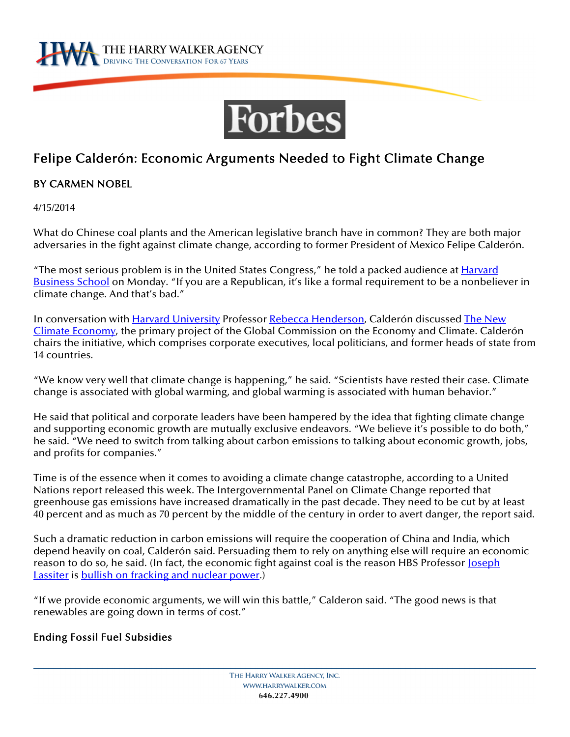



## Felipe Calderón: Economic Arguments Needed to Fight Climate Change

## BY CARMEN NOBEL

4/15/2014

What do Chinese coal plants and the American legislative branch have in common? They are both major adversaries in the fight against climate change, according to former President of Mexico Felipe Calderón.

"The most serious problem is in the United States Congress," he told a packed audience at <u>Harvard</u> Business School on Monday. "If you are a Republican, it's like a formal requirement to be a nonbeliever in climate change. And that's bad."

In conversation with **Harvard University Professor Rebecca Henderson**, Calderón discussed The New Climate Economy, the primary project of the Global Commission on the Economy and Climate. Calderón chairs the initiative, which comprises corporate executives, local politicians, and former heads of state from 14 countries.

"We know very well that climate change is happening," he said. "Scientists have rested their case. Climate change is associated with global warming, and global warming is associated with human behavior."

He said that political and corporate leaders have been hampered by the idea that fighting climate change and supporting economic growth are mutually exclusive endeavors. "We believe it's possible to do both," he said. "We need to switch from talking about carbon emissions to talking about economic growth, jobs, and profits for companies."

Time is of the essence when it comes to avoiding a climate change catastrophe, according to a United Nations report released this week. The Intergovernmental Panel on Climate Change reported that greenhouse gas emissions have increased dramatically in the past decade. They need to be cut by at least 40 percent and as much as 70 percent by the middle of the century in order to avert danger, the report said.

Such a dramatic reduction in carbon emissions will require the cooperation of China and India, which depend heavily on coal, Calderón said. Persuading them to rely on anything else will require an economic reason to do so, he said. (In fact, the economic fight against coal is the reason HBS Professor **loseph** Lassiter is bullish on fracking and nuclear power.)

"If we provide economic arguments, we will win this battle," Calderon said. "The good news is that renewables are going down in terms of cost."

## Ending Fossil Fuel Subsidies